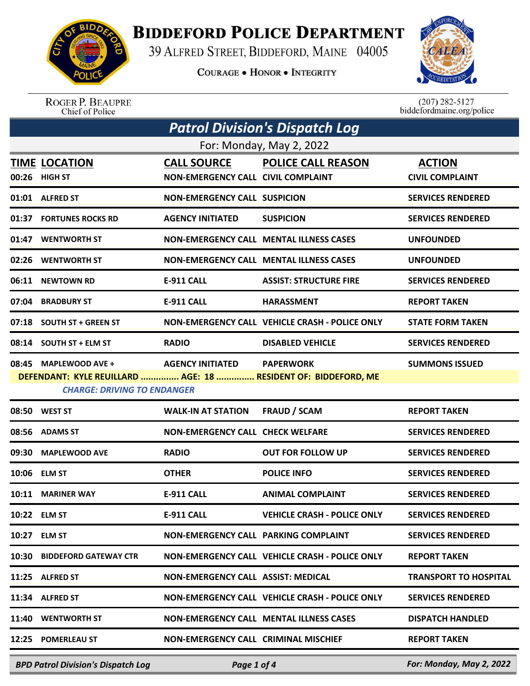

## **BIDDEFORD POLICE DEPARTMENT**

39 ALFRED STREET, BIDDEFORD, MAINE 04005

**COURAGE . HONOR . INTEGRITY** 



ROGER P. BEAUPRE<br>Chief of Police

 $(207)$  282-5127<br>biddefordmaine.org/police

| <b>Patrol Division's Dispatch Log</b> |                                                                                                                                                                                                       |                                                                 |                                                       |                                         |  |  |
|---------------------------------------|-------------------------------------------------------------------------------------------------------------------------------------------------------------------------------------------------------|-----------------------------------------------------------------|-------------------------------------------------------|-----------------------------------------|--|--|
| For: Monday, May 2, 2022              |                                                                                                                                                                                                       |                                                                 |                                                       |                                         |  |  |
| 00:26                                 | <b>TIME LOCATION</b><br><b>HIGH ST</b>                                                                                                                                                                | <b>CALL SOURCE</b><br><b>NON-EMERGENCY CALL CIVIL COMPLAINT</b> | <b>POLICE CALL REASON</b>                             | <b>ACTION</b><br><b>CIVIL COMPLAINT</b> |  |  |
| 01:01                                 | <b>ALFRED ST</b>                                                                                                                                                                                      | <b>NON-EMERGENCY CALL SUSPICION</b>                             |                                                       | <b>SERVICES RENDERED</b>                |  |  |
| 01:37                                 | <b>FORTUNES ROCKS RD</b>                                                                                                                                                                              | <b>AGENCY INITIATED</b>                                         | <b>SUSPICION</b>                                      | <b>SERVICES RENDERED</b>                |  |  |
| 01:47                                 | <b>WENTWORTH ST</b>                                                                                                                                                                                   |                                                                 | <b>NON-EMERGENCY CALL MENTAL ILLNESS CASES</b>        | <b>UNFOUNDED</b>                        |  |  |
|                                       | 02:26 WENTWORTH ST                                                                                                                                                                                    |                                                                 | <b>NON-EMERGENCY CALL MENTAL ILLNESS CASES</b>        | <b>UNFOUNDED</b>                        |  |  |
| 06:11                                 | <b>NEWTOWN RD</b>                                                                                                                                                                                     | <b>E-911 CALL</b>                                               | <b>ASSIST: STRUCTURE FIRE</b>                         | <b>SERVICES RENDERED</b>                |  |  |
| 07:04                                 | <b>BRADBURY ST</b>                                                                                                                                                                                    | <b>E-911 CALL</b>                                               | <b>HARASSMENT</b>                                     | <b>REPORT TAKEN</b>                     |  |  |
|                                       | 07:18 SOUTH ST + GREEN ST                                                                                                                                                                             |                                                                 | NON-EMERGENCY CALL VEHICLE CRASH - POLICE ONLY        | <b>STATE FORM TAKEN</b>                 |  |  |
|                                       | 08:14 SOUTH ST + ELM ST                                                                                                                                                                               | <b>RADIO</b>                                                    | <b>DISABLED VEHICLE</b>                               | <b>SERVICES RENDERED</b>                |  |  |
|                                       | <b>AGENCY INITIATED</b><br>08:45 MAPLEWOOD AVE +<br><b>PAPERWORK</b><br><b>SUMMONS ISSUED</b><br>DEFENDANT: KYLE REUILLARD  AGE: 18  RESIDENT OF: BIDDEFORD, ME<br><b>CHARGE: DRIVING TO ENDANGER</b> |                                                                 |                                                       |                                         |  |  |
|                                       | 08:50 WEST ST                                                                                                                                                                                         | <b>WALK-IN AT STATION</b>                                       | <b>FRAUD / SCAM</b>                                   | <b>REPORT TAKEN</b>                     |  |  |
| 08:56                                 | <b>ADAMS ST</b>                                                                                                                                                                                       | <b>NON-EMERGENCY CALL CHECK WELFARE</b>                         |                                                       | <b>SERVICES RENDERED</b>                |  |  |
| 09:30                                 | <b>MAPLEWOOD AVE</b>                                                                                                                                                                                  | <b>RADIO</b>                                                    | <b>OUT FOR FOLLOW UP</b>                              | <b>SERVICES RENDERED</b>                |  |  |
| 10:06                                 | <b>ELM ST</b>                                                                                                                                                                                         | <b>OTHER</b>                                                    | <b>POLICE INFO</b>                                    | <b>SERVICES RENDERED</b>                |  |  |
| 10:11                                 | <b>MARINER WAY</b>                                                                                                                                                                                    | <b>E-911 CALL</b>                                               | <b>ANIMAL COMPLAINT</b>                               | <b>SERVICES RENDERED</b>                |  |  |
|                                       | 10:22 ELM ST                                                                                                                                                                                          | <b>E-911 CALL</b>                                               | <b>VEHICLE CRASH - POLICE ONLY</b>                    | <b>SERVICES RENDERED</b>                |  |  |
|                                       | 10:27 ELM ST                                                                                                                                                                                          | NON-EMERGENCY CALL PARKING COMPLAINT                            |                                                       | <b>SERVICES RENDERED</b>                |  |  |
| 10:30                                 | <b>BIDDEFORD GATEWAY CTR</b>                                                                                                                                                                          |                                                                 | <b>NON-EMERGENCY CALL VEHICLE CRASH - POLICE ONLY</b> | <b>REPORT TAKEN</b>                     |  |  |
|                                       | 11:25 ALFRED ST                                                                                                                                                                                       | NON-EMERGENCY CALL ASSIST: MEDICAL                              |                                                       | <b>TRANSPORT TO HOSPITAL</b>            |  |  |
|                                       | 11:34 ALFRED ST                                                                                                                                                                                       |                                                                 | NON-EMERGENCY CALL VEHICLE CRASH - POLICE ONLY        | <b>SERVICES RENDERED</b>                |  |  |
|                                       | 11:40 WENTWORTH ST                                                                                                                                                                                    |                                                                 | <b>NON-EMERGENCY CALL MENTAL ILLNESS CASES</b>        | <b>DISPATCH HANDLED</b>                 |  |  |
|                                       | 12:25 POMERLEAU ST                                                                                                                                                                                    | <b>NON-EMERGENCY CALL CRIMINAL MISCHIEF</b>                     |                                                       | <b>REPORT TAKEN</b>                     |  |  |
|                                       | <b>BPD Patrol Division's Dispatch Log</b>                                                                                                                                                             | Page 1 of 4                                                     |                                                       | For: Monday, May 2, 2022                |  |  |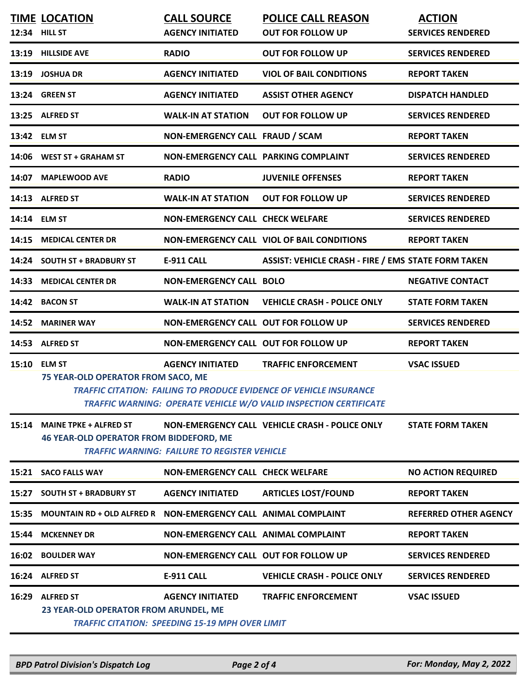|       | <b>TIME LOCATION</b><br>12:34 HILL ST                                          | <b>CALL SOURCE</b><br><b>AGENCY INITIATED</b>                                     | <b>POLICE CALL REASON</b><br><b>OUT FOR FOLLOW UP</b>                                                                                                 | <b>ACTION</b><br><b>SERVICES RENDERED</b> |
|-------|--------------------------------------------------------------------------------|-----------------------------------------------------------------------------------|-------------------------------------------------------------------------------------------------------------------------------------------------------|-------------------------------------------|
|       | 13:19 HILLSIDE AVE                                                             | <b>RADIO</b>                                                                      | <b>OUT FOR FOLLOW UP</b>                                                                                                                              | <b>SERVICES RENDERED</b>                  |
| 13:19 | <b>JOSHUA DR</b>                                                               | <b>AGENCY INITIATED</b>                                                           | <b>VIOL OF BAIL CONDITIONS</b>                                                                                                                        | <b>REPORT TAKEN</b>                       |
|       | 13:24 GREEN ST                                                                 | <b>AGENCY INITIATED</b>                                                           | <b>ASSIST OTHER AGENCY</b>                                                                                                                            | <b>DISPATCH HANDLED</b>                   |
|       | 13:25 ALFRED ST                                                                | <b>WALK-IN AT STATION</b>                                                         | <b>OUT FOR FOLLOW UP</b>                                                                                                                              | <b>SERVICES RENDERED</b>                  |
|       | 13:42 ELM ST                                                                   | NON-EMERGENCY CALL FRAUD / SCAM                                                   |                                                                                                                                                       | <b>REPORT TAKEN</b>                       |
|       | 14:06 WEST ST + GRAHAM ST                                                      | NON-EMERGENCY CALL PARKING COMPLAINT                                              |                                                                                                                                                       | <b>SERVICES RENDERED</b>                  |
|       | 14:07 MAPLEWOOD AVE                                                            | <b>RADIO</b>                                                                      | <b>JUVENILE OFFENSES</b>                                                                                                                              | <b>REPORT TAKEN</b>                       |
|       | 14:13 ALFRED ST                                                                | <b>WALK-IN AT STATION</b>                                                         | <b>OUT FOR FOLLOW UP</b>                                                                                                                              | <b>SERVICES RENDERED</b>                  |
|       | 14:14 ELM ST                                                                   | <b>NON-EMERGENCY CALL CHECK WELFARE</b>                                           |                                                                                                                                                       | <b>SERVICES RENDERED</b>                  |
| 14:15 | <b>MEDICAL CENTER DR</b>                                                       |                                                                                   | <b>NON-EMERGENCY CALL VIOL OF BAIL CONDITIONS</b>                                                                                                     | <b>REPORT TAKEN</b>                       |
|       | 14:24 SOUTH ST + BRADBURY ST                                                   | <b>E-911 CALL</b>                                                                 | <b>ASSIST: VEHICLE CRASH - FIRE / EMS STATE FORM TAKEN</b>                                                                                            |                                           |
| 14:33 | <b>MEDICAL CENTER DR</b>                                                       | <b>NON-EMERGENCY CALL BOLO</b>                                                    |                                                                                                                                                       | <b>NEGATIVE CONTACT</b>                   |
|       | 14:42 BACON ST                                                                 | <b>WALK-IN AT STATION</b>                                                         | <b>VEHICLE CRASH - POLICE ONLY</b>                                                                                                                    | <b>STATE FORM TAKEN</b>                   |
|       | 14:52 MARINER WAY                                                              | NON-EMERGENCY CALL OUT FOR FOLLOW UP                                              |                                                                                                                                                       | <b>SERVICES RENDERED</b>                  |
|       | 14:53 ALFRED ST                                                                | NON-EMERGENCY CALL OUT FOR FOLLOW UP                                              |                                                                                                                                                       | <b>REPORT TAKEN</b>                       |
|       | 15:10 ELM ST                                                                   | <b>AGENCY INITIATED</b>                                                           | <b>TRAFFIC ENFORCEMENT</b>                                                                                                                            | <b>VSAC ISSUED</b>                        |
|       | 75 YEAR-OLD OPERATOR FROM SACO, ME                                             |                                                                                   | <b>TRAFFIC CITATION: FAILING TO PRODUCE EVIDENCE OF VEHICLE INSURANCE</b><br><b>TRAFFIC WARNING: OPERATE VEHICLE W/O VALID INSPECTION CERTIFICATE</b> |                                           |
|       | 15:14 MAINE TPKE + ALFRED ST<br><b>46 YEAR-OLD OPERATOR FROM BIDDEFORD, ME</b> | <b>TRAFFIC WARNING: FAILURE TO REGISTER VEHICLE</b>                               | NON-EMERGENCY CALL VEHICLE CRASH - POLICE ONLY                                                                                                        | <b>STATE FORM TAKEN</b>                   |
|       | 15:21 SACO FALLS WAY                                                           | <b>NON-EMERGENCY CALL CHECK WELFARE</b>                                           |                                                                                                                                                       | <b>NO ACTION REQUIRED</b>                 |
|       | 15:27 SOUTH ST + BRADBURY ST                                                   | <b>AGENCY INITIATED</b>                                                           | <b>ARTICLES LOST/FOUND</b>                                                                                                                            | <b>REPORT TAKEN</b>                       |
|       | 15:35 MOUNTAIN RD + OLD ALFRED R NON-EMERGENCY CALL ANIMAL COMPLAINT           |                                                                                   |                                                                                                                                                       | <b>REFERRED OTHER AGENCY</b>              |
|       | 15:44 MCKENNEY DR                                                              | NON-EMERGENCY CALL ANIMAL COMPLAINT                                               |                                                                                                                                                       | <b>REPORT TAKEN</b>                       |
|       | <b>16:02 BOULDER WAY</b>                                                       | NON-EMERGENCY CALL OUT FOR FOLLOW UP                                              |                                                                                                                                                       | <b>SERVICES RENDERED</b>                  |
|       | 16:24 ALFRED ST                                                                | <b>E-911 CALL</b>                                                                 | <b>VEHICLE CRASH - POLICE ONLY</b>                                                                                                                    | <b>SERVICES RENDERED</b>                  |
| 16:29 | <b>ALFRED ST</b><br>23 YEAR-OLD OPERATOR FROM ARUNDEL, ME                      | <b>AGENCY INITIATED</b><br><b>TRAFFIC CITATION: SPEEDING 15-19 MPH OVER LIMIT</b> | <b>TRAFFIC ENFORCEMENT</b>                                                                                                                            | <b>VSAC ISSUED</b>                        |

*BPD Patrol Division's Dispatch Log Page 2 of 4 For: Monday, May 2, 2022*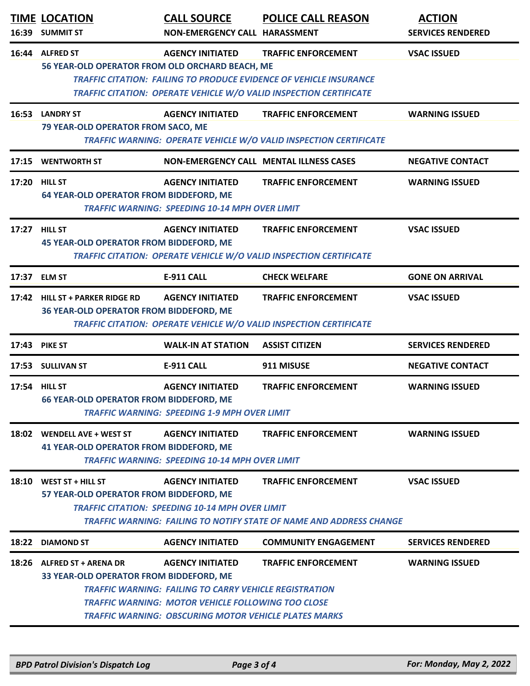| 16:39 | <b>TIME LOCATION</b><br><b>SUMMIT ST</b>                                          | <b>CALL SOURCE</b><br><b>NON-EMERGENCY CALL HARASSMENT</b>                                                                                                                                                            | <b>POLICE CALL REASON</b>                                                                                                                                                     | <b>ACTION</b><br><b>SERVICES RENDERED</b> |
|-------|-----------------------------------------------------------------------------------|-----------------------------------------------------------------------------------------------------------------------------------------------------------------------------------------------------------------------|-------------------------------------------------------------------------------------------------------------------------------------------------------------------------------|-------------------------------------------|
| 16:44 | <b>ALFRED ST</b><br>56 YEAR-OLD OPERATOR FROM OLD ORCHARD BEACH, ME               | <b>AGENCY INITIATED</b>                                                                                                                                                                                               | <b>TRAFFIC ENFORCEMENT</b><br><b>TRAFFIC CITATION: FAILING TO PRODUCE EVIDENCE OF VEHICLE INSURANCE</b><br>TRAFFIC CITATION: OPERATE VEHICLE W/O VALID INSPECTION CERTIFICATE | <b>VSAC ISSUED</b>                        |
|       | 16:53 LANDRY ST<br>79 YEAR-OLD OPERATOR FROM SACO, ME                             | <b>AGENCY INITIATED</b>                                                                                                                                                                                               | <b>TRAFFIC ENFORCEMENT</b><br>TRAFFIC WARNING: OPERATE VEHICLE W/O VALID INSPECTION CERTIFICATE                                                                               | <b>WARNING ISSUED</b>                     |
|       | 17:15 WENTWORTH ST                                                                |                                                                                                                                                                                                                       | <b>NON-EMERGENCY CALL MENTAL ILLNESS CASES</b>                                                                                                                                | <b>NEGATIVE CONTACT</b>                   |
|       | 17:20 HILL ST<br><b>64 YEAR-OLD OPERATOR FROM BIDDEFORD, ME</b>                   | <b>AGENCY INITIATED</b><br><b>TRAFFIC WARNING: SPEEDING 10-14 MPH OVER LIMIT</b>                                                                                                                                      | <b>TRAFFIC ENFORCEMENT</b>                                                                                                                                                    | <b>WARNING ISSUED</b>                     |
|       | 17:27 HILL ST<br><b>45 YEAR-OLD OPERATOR FROM BIDDEFORD, ME</b>                   | <b>AGENCY INITIATED</b>                                                                                                                                                                                               | <b>TRAFFIC ENFORCEMENT</b><br>TRAFFIC CITATION: OPERATE VEHICLE W/O VALID INSPECTION CERTIFICATE                                                                              | <b>VSAC ISSUED</b>                        |
|       | 17:37 ELM ST                                                                      | E-911 CALL                                                                                                                                                                                                            | <b>CHECK WELFARE</b>                                                                                                                                                          | <b>GONE ON ARRIVAL</b>                    |
|       | 17:42 HILL ST + PARKER RIDGE RD<br><b>36 YEAR-OLD OPERATOR FROM BIDDEFORD, ME</b> | <b>AGENCY INITIATED</b>                                                                                                                                                                                               | <b>TRAFFIC ENFORCEMENT</b><br>TRAFFIC CITATION: OPERATE VEHICLE W/O VALID INSPECTION CERTIFICATE                                                                              | <b>VSAC ISSUED</b>                        |
|       | 17:43 PIKE ST                                                                     | <b>WALK-IN AT STATION</b>                                                                                                                                                                                             | <b>ASSIST CITIZEN</b>                                                                                                                                                         | <b>SERVICES RENDERED</b>                  |
|       | 17:53 SULLIVAN ST                                                                 | <b>E-911 CALL</b>                                                                                                                                                                                                     | 911 MISUSE                                                                                                                                                                    | <b>NEGATIVE CONTACT</b>                   |
|       | 17:54 HILL ST<br>66 YEAR-OLD OPERATOR FROM BIDDEFORD, ME                          | <b>AGENCY INITIATED</b><br><b>TRAFFIC WARNING: SPEEDING 1-9 MPH OVER LIMIT</b>                                                                                                                                        | <b>TRAFFIC ENFORCEMENT</b>                                                                                                                                                    | <b>WARNING ISSUED</b>                     |
|       | 18:02 WENDELL AVE + WEST ST<br><b>41 YEAR-OLD OPERATOR FROM BIDDEFORD, ME</b>     | <b>AGENCY INITIATED</b><br><b>TRAFFIC WARNING: SPEEDING 10-14 MPH OVER LIMIT</b>                                                                                                                                      | <b>TRAFFIC ENFORCEMENT</b>                                                                                                                                                    | <b>WARNING ISSUED</b>                     |
|       | $18:10$ WEST ST + HILL ST<br>57 YEAR-OLD OPERATOR FROM BIDDEFORD, ME              | <b>AGENCY INITIATED</b><br><b>TRAFFIC CITATION: SPEEDING 10-14 MPH OVER LIMIT</b>                                                                                                                                     | <b>TRAFFIC ENFORCEMENT</b><br>TRAFFIC WARNING: FAILING TO NOTIFY STATE OF NAME AND ADDRESS CHANGE                                                                             | <b>VSAC ISSUED</b>                        |
|       | 18:22 DIAMOND ST                                                                  | <b>AGENCY INITIATED</b>                                                                                                                                                                                               | <b>COMMUNITY ENGAGEMENT</b>                                                                                                                                                   | <b>SERVICES RENDERED</b>                  |
|       | 18:26 ALFRED ST + ARENA DR<br>33 YEAR-OLD OPERATOR FROM BIDDEFORD, ME             | <b>AGENCY INITIATED</b><br><b>TRAFFIC WARNING: FAILING TO CARRY VEHICLE REGISTRATION</b><br><b>TRAFFIC WARNING: MOTOR VEHICLE FOLLOWING TOO CLOSE</b><br><b>TRAFFIC WARNING: OBSCURING MOTOR VEHICLE PLATES MARKS</b> | <b>TRAFFIC ENFORCEMENT</b>                                                                                                                                                    | <b>WARNING ISSUED</b>                     |